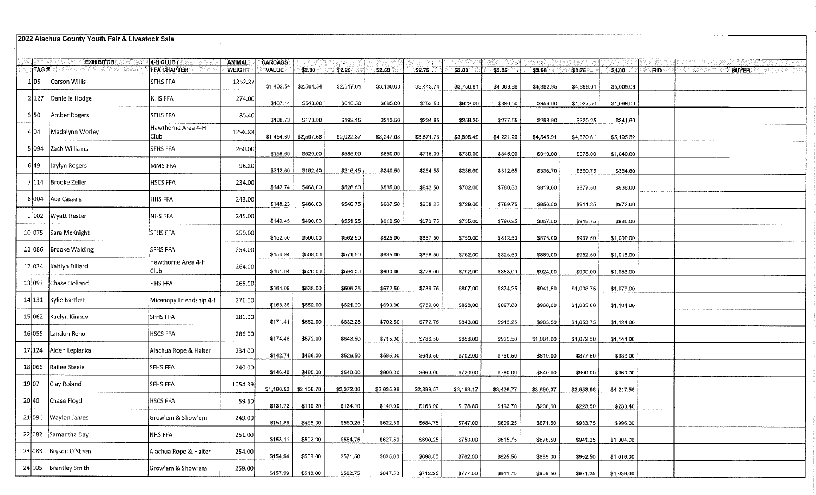|        | 2022 Alachua County Youth Fair & Livestock Sale |                             |               |                |                         |            |            |            |            |            |            |            |            |            |              |
|--------|-------------------------------------------------|-----------------------------|---------------|----------------|-------------------------|------------|------------|------------|------------|------------|------------|------------|------------|------------|--------------|
|        | <b>EXHIBITOR</b>                                | $4$ -H CLUB $T$             | ANIMAL        | <b>CARCASS</b> |                         |            |            |            |            |            |            |            |            |            |              |
| TAG#   |                                                 | <b>FFA CHAPTER</b>          | <b>WEIGHT</b> | <b>VALUE</b>   | \$2.00                  | \$2,25     | \$2.50     | \$2.75     | \$3.00     | \$3.25     | \$3.50     | \$3.75     | \$4.00     | <b>BID</b> | <b>BUYER</b> |
| 1 05   | Carson Willis                                   | <b>SFHS FFA</b>             | 1252.27       |                | $$1,402.54$ \$2,504.54  | \$2,817.61 | \$3,130.68 | \$3,443.74 | \$3,756.81 | \$4,069.88 | \$4,382.95 | \$4,696.01 | \$5,009.08 |            |              |
| 2 127  | Danielle Hodge                                  | NHS FFA                     | 274.00        | \$167.14       | \$548.00                | \$616.50   | \$685,00   | \$753,50   | \$822.00   | \$890.50   | \$959.00   | \$1,027.50 | \$1,096.00 |            |              |
| 3 50   | Amber Rogers                                    | SFHS FFA                    | 85,40         | \$188.73       | \$170.80                | \$192.15   | \$213.50   | \$234.85   | \$256.20   | \$277.55   | \$298.90   | \$320.25   | \$341.60   |            |              |
| 4104   | Madalynn Worley                                 | Hawthorne Area 4-H<br>Club. | 1298.83       |                | $$1,454.69$ \$2,597.66  | \$2,922.37 | \$3,247.08 | \$3,571.78 | \$3,896.49 | \$4,221.20 | \$4,545.91 | \$4,870.61 | \$5,195.32 |            |              |
|        | 5 094 Zach Williams                             | <b>SFHS FFA</b>             | 260.00        | \$158.60       | \$520.00                | \$585.00   | \$650.00   | \$715.00   | \$780.00   | \$845.00   | \$910.00   | \$975,00   | \$1,040.00 |            |              |
| 6 49   | Jaylyn Rogers                                   | MMS FFA                     | 96.20         | \$212.60       | \$192.40                | \$216.45   | \$240.50   | \$264.55   | \$288.60   | \$312.65   | \$336.70   | \$360.75   | \$384.80   |            |              |
|        | 7114 Brooke Zeller                              | <b>HSCS FFA</b>             | 234.00        | \$142.74       | \$468.00                | \$526.50   | \$585.00   | \$643.50   | \$702.00   | \$760.50   | \$819.00   | \$877.50   | \$936.00   |            |              |
|        | 8004 Ace Cassels                                | HHS FFA                     | 243.00        | \$148.23       | \$486.00                | \$546,75   | \$607.50   | \$668,25   | \$729.00   | \$789.75   | \$850.50   | \$911.25   | \$972.00   |            |              |
|        | 9102   Wyatt Hester                             | NHS FFA                     | 245.00        | \$149.45       | \$490.00                | \$551.25   | \$612.50   | \$673,75   | \$735.00   | \$796.25   | \$857.50   | \$918.75   | \$980.00   |            |              |
|        | 10075 Sara McKnight                             | SFHS FFA                    | 250.00        | \$152,50       | \$500.00                | \$562.50   | \$625.00   | \$687.50   | \$750.00   | \$812.50   | \$875.00   | \$937.50   | \$1,000.00 |            |              |
| 11 086 | <b>Brooke Walding</b>                           | <b>SFHS FFA</b>             | 254.00        | \$154.94       | \$508,00                | \$571.50   | \$635,00   | \$698,50   | \$762.00   | \$825.50   | \$889,00   | \$952.50   | \$1,016.00 |            |              |
|        | 12 034 Kaitlyn Dillard                          | Hawthorne Area 4-H<br>Club  | 264.00        | \$161.04       | \$528.00                | \$594.00   | \$660.00   | \$726.00   | \$792.00   | \$858.00   | \$924.00   | \$990.00   | \$1,056.00 |            |              |
|        | 13 093 Chase Holland                            | HHS FFA                     | 269.00        | \$164.09       | \$538.00                | \$605.25   | \$672.50   | \$739.75   | \$807.00   | \$874.25   | \$941.50   | \$1,008.75 | \$1,076.00 |            |              |
|        | 14 131 Kylie Bartlett                           | Micanopy Friendship 4-H     | 276.00        | \$168.36       | \$552.00                | \$621.00   | \$690.00   | \$759.00   | \$828.00   | \$897.00   | \$966.00   | \$1,035.00 | \$1,104.00 |            |              |
|        | 15 062 Kaelyn Kinney                            | SFHS FFA                    | 281.00        | \$171.41       | \$562.00                | \$632.25   | \$702.50   | \$772.75   | \$843.00   | \$913.25   | \$983,50   | \$1,053.75 | \$1,124.00 |            |              |
| 16 055 | Landon Reno                                     | <b>HSCS FFA</b>             | 286.00        | \$174.46       | \$572.00                | \$643.50   | \$715.00   | \$786,50   | \$858.00   | \$929.50   | \$1,001.00 | \$1,072.50 | \$1,144.00 |            |              |
|        | 17 124   Aiden Lepianka                         | Alachua Rope & Halter       | 234.00        | \$142.74       | \$468,00                | \$526.50   | \$585.00   | \$643.50   | \$702.00   | \$760,50   | \$819.00   | \$877.50   | \$936.00   |            |              |
| 18 066 | Railee Steele                                   | <b>SFHS FFA</b>             | 240.00        | \$146.40       | \$480.00                | \$540.00   | \$600,00   | \$660,00   | \$720.00   | \$780.00   | \$840.00   | \$900.00   | \$960.00   |            |              |
| 19 07  | Clay Roland                                     | <b>SFHS FFA</b>             | 1054.39       |                | $$1,180.92$ $$2,108.78$ | \$2,372.38 | \$2,635.98 | \$2,899.57 | \$3,163.17 | \$3,426.77 | \$3,690.37 | \$3,953.96 | \$4,217.56 |            |              |
| 20 40  | Chase Floyd                                     | HSCS FFA                    | 59.60         | \$131.72       | \$119,20                | \$134.10   | \$149.00   | \$163.90   | \$178.80   | \$193,70   | \$208,60   | \$223.50   | \$238.40   |            |              |
|        | 21091   Waylon James                            | Grow'em & Show'em           | 249.00        | \$151.89       | \$498.00                | \$560.25   | \$622.50   | \$684.75   | \$747.00   | \$809.25   | \$871.50   | \$933.75   | \$996.00   |            |              |
|        | 22 082 Samantha Day                             | <b>NHS FFA</b>              | 251.00        | \$153.11       | \$502.00                | \$564.75   | \$627.50   | \$690.25   | \$753.00   | \$815.75   | \$878.50   | \$941.25   | \$1,004.00 |            |              |
|        | 23 083   Bryson O'Steen                         | Alachua Rope & Halter       | 254.00        | \$154,94       | \$508.00                | \$571.50   | \$635.00   | \$698.50   | \$762.00   | \$825.50   | \$889,00   | \$952.50   | \$1,016.00 |            |              |
|        | 24 105   Brantley Smith                         | Grow'em & Show'em           | 259.00        | \$157.99       | \$518.00                | \$582,75   | \$647,50   | \$712.25   | \$777.00   | \$841.75   | \$906.50   | \$971.25   | \$1,036,00 |            |              |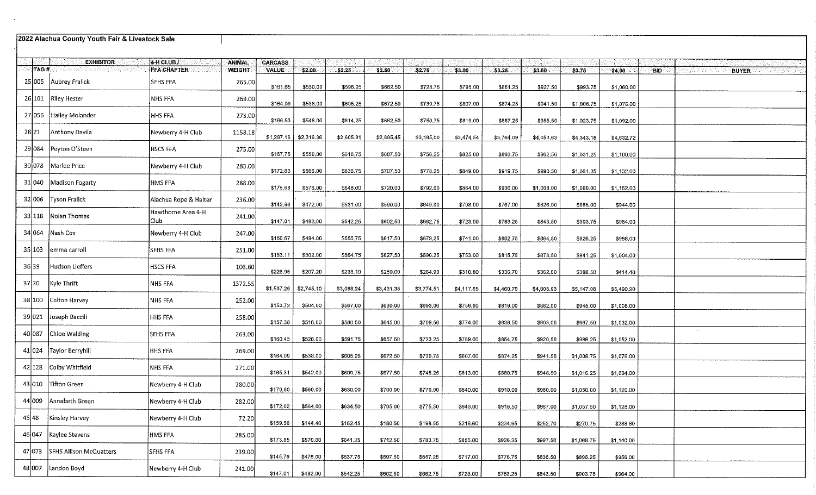## 2022 Alachua County Youth Fair & Livestock Sale

 $\sim 10^{-11}$ 

|        | <b>EXHIBITOR</b>          | 4 H CLUB /                 | <b>ANIMAL</b> | <b>CARCASS</b> |            |            |            |            |            |            |            |            |            |                            |
|--------|---------------------------|----------------------------|---------------|----------------|------------|------------|------------|------------|------------|------------|------------|------------|------------|----------------------------|
| TAG#   |                           | <b>FFA CHAPTER</b>         | <b>WEIGHT</b> | <b>VALUE</b>   | \$2.00     | \$2.25     | \$2.50     | \$2.75     | \$3.00     | \$3.25     | \$3.50     | \$3.75     | \$4.00     | <b>BID</b><br><b>BUYER</b> |
| 25 005 | Aubrey Fralick            | <b>SFHS FFA</b>            | 265.00        | \$161.65       | \$530.00   | \$596.25   | \$662,50   | \$728.75   | \$795.00   | \$861.25   | \$927.50   | \$993.75   | \$1,060,00 |                            |
| 26 101 | <b>Riley Hester</b>       | NHS FFA                    | 269.00        | \$164.09       | \$538.00   | \$605.25   | \$672.50   | \$739,75   | \$807.00   | \$874.25   | \$941.50   | \$1,008.75 | \$1,076.00 |                            |
| 27 056 | Hailey Molander           | HHS FFA                    | 273.00        | \$166.53       | \$546.00   | \$614.25   | \$682,50   | \$750.75   | \$819.00   | \$887.25   | \$955.50   | \$1,023.75 | \$1,092.00 |                            |
| 28 21  | Anthony Davila            | Newberry 4-H Club          | 1158.18       | \$1,297.16     | \$2,316.36 | \$2,605.91 | \$2,895.45 | \$3,185.00 | \$3,474.54 | \$3,764.09 | \$4,053.63 | \$4,343.18 | \$4,632,72 |                            |
| 29 084 | Peyton O'Steen            | HSCS FFA                   | 275.00        | \$167.75       | \$550,00   | \$618.75   | \$687.50   | \$756.25   | \$825,00   | \$893,75   | \$962.50   | \$1,031.25 | \$1,100.00 |                            |
| 30 078 | lMarlee Price             | Newberry 4-H Club          | 283.00        | \$172.63       | \$566.00   | \$636.75   | \$707.50   | \$778.25   | \$849.00   | \$919.75   | \$990.50   | \$1,061.25 | \$1,132.00 |                            |
| 31 040 | Madison Fogarty           | HMS FFA                    | 288.00        | \$175.68       | \$576.00   | \$648.00   | \$720.00   | \$792.00   | \$864.00   | \$936.00   | \$1,008.00 | \$1,080.00 | \$1,152.00 |                            |
| 32 006 | <b>Tyson Fralick</b>      | Alachua Rope & Halter      | 236.00        | \$143.96       | \$472.00   | \$531.00   | \$590.00   | \$649.00   | \$708.00   | \$767,00   | \$826.00   | \$885.00   | \$944.00   |                            |
| 33 118 | Nolan Thomas              | Hawthorne Area 4-H<br>Club | 241.00        | \$147.01       | \$482,00   | \$542.25   | \$602.50   | \$662.75   | \$723.00   | \$783.25   | \$843.50   | \$903.75   | \$964.00   |                            |
| 34 064 | Nash Cox                  | Newberry 4-H Club          | 247.00        | \$150.67       | \$494.00   | \$555.75   | \$617.50   | \$679.25   | \$741.00   | \$802.75   | \$864.50   | \$926.25   | \$988,00   |                            |
| 35 103 | emma carroll              | <b>SFHS FFA</b>            | 251.00        | \$153.11       | \$502.00   | \$564.75   | \$627,50   | \$690.25   | \$753.00   | \$815,75   | \$878,50   | \$941.25   | \$1,004.00 |                            |
| 36 39  | Hudson Lieffers           | <b>HSCS FFA</b>            | 103.60        | \$228.96       | \$207.20   | \$233.10   | \$259.00   | \$284.90   | \$310.80   | \$336.70   | \$362.60   | \$388.50   | \$414.40   |                            |
| 37 20  | Kyle Thrift               | <b>NHS FFA</b>             | 1372.55       | \$1,537.26     | \$2,745.10 | \$3,088.24 | \$3 431.38 | \$3,774.51 | \$4,117.65 | \$4,460.79 | \$4,803.93 | \$5,147.06 | \$5 490.20 |                            |
| 38 100 | Colton Harvey             | NHS FFA                    | 252.00        | \$153.72       | \$504.00   | \$567.00   | \$630.00   | \$693.00   | \$756.00   | \$819.00   | \$882.00   | \$945.00   | \$1,008,00 |                            |
| 39 021 | Joseph Baccili            | HHS FFA                    | 258.00        | \$157.38       | \$516,00   | \$580.50   | \$645.00   | \$709.50   | \$774.00   | \$838,50   | \$903.00   | \$967.50   | \$1,032.00 |                            |
| 40 087 | Chloe Walding             | <b>SFHS FFA</b>            | 263,00        | \$160.43       | \$526.00   | \$591.75   | \$657.50   | \$723.25   | \$789.00   | \$854,75   | \$920.50   | \$986.25   | \$1,052.00 |                            |
|        | 41 024   Taylor Berryhill | HHS FFA                    | 269.00        | \$164,09       | \$538.00   | \$605.25   | \$672.50   | \$739,75   | \$807.00   | \$874.25   | \$941.50   | \$1,008.75 | \$1,076.00 |                            |
| 42 128 | Colby Whitfield           | NHS FFA                    | 271.00        | \$165.31       | \$542.00   | \$609.75   | \$677.50   | \$745.25   | \$813,00   | \$880.75   | \$948,50   | \$1,016.25 | \$1,084.00 |                            |
| 43 010 | Tifton Green              | Newberry 4-H Club          | 280.00        | \$170.80       | \$560.00   | \$630.00   | \$700.00   | \$770.00   | \$840.00   | \$910.00   | \$980,00   | \$1,050.00 | \$1,120.00 |                            |
| 44 009 | Annabeth Green            | Newberry 4-H Club          | 282.00        | \$172.02       | \$564.00   | \$634.50   | \$705,00   | \$775.50   | \$846.00   | \$916.50   | \$987.00   | \$1,057.50 | \$1,128.00 |                            |
| 45 48  | Kinsley Harvey            | Newberry 4-H Club          | 72.20         | \$159.56       | \$144.40   | \$162.45   | \$180,50   | \$198.55   | \$216,60   | \$234.65   | \$252.70   | \$270.75   | \$288.80   |                            |
| 46 047 | Kaylee Stevens            | HMS FFA                    | 285,00        | \$173.85       | \$570.00   | \$641.25   | \$712.50   | \$783.75   | \$855.00   | \$926,25   | \$997.50   | \$1,068.75 | \$1,140.00 |                            |
| 47 073 | SFHS Allison McQuatters   | SFHS FFA                   | 239.00        | \$145.79       | \$478.00   | \$537.75   | \$597.50   | \$657.25   | \$717.00   | \$776.75   | \$836,50   | \$896.25   | \$956,00   |                            |
| 48 007 | Landon Boyd               | Newberry 4-H Club          | 241.00        | \$147.01       | \$482.00   | \$542.25   | \$602.50   | \$662.75   | \$723.00   | \$783.25   | \$843.50   | \$903.75   | \$964.00   |                            |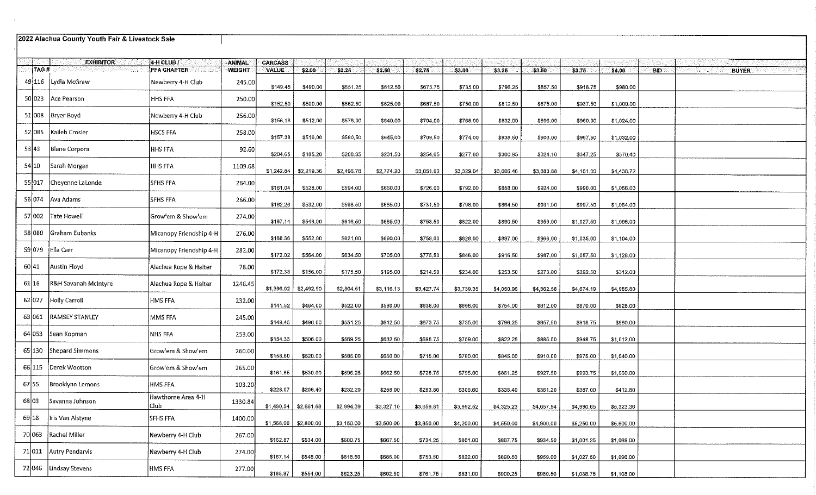| 2022 Alachua County Youth Fair & Livestock Sale |                                 |                            |               |                |                       |            |            |            |            |            |            |            |            |      |              |
|-------------------------------------------------|---------------------------------|----------------------------|---------------|----------------|-----------------------|------------|------------|------------|------------|------------|------------|------------|------------|------|--------------|
|                                                 | <b>EXHIBITOR</b>                | $4$ H CLUB $l$             | ANIMAL        | <b>CARCASS</b> |                       |            |            |            |            |            |            |            |            |      |              |
| TAG#                                            |                                 | <b>FFA CHAPTER</b>         | <b>WEIGHT</b> | <b>VALUE</b>   | \$2.00                | \$2.25     | \$2.50     | \$2.75     | \$3.00     | \$3.25     | \$3.50     | \$3.75     | \$4.00     | BID. | <b>BUYER</b> |
|                                                 | 49116   Lydia McGraw            | Newberry 4-H Club          | 245.00        | \$149.45       | \$490.00              | \$551.25   | \$612.50   | \$673.75   | \$735.00   | \$796.25   | \$857.50   | \$918.75   | \$980.00   |      |              |
|                                                 | 50 023 Ace Pearson              | <b>HHS FFA</b>             | 250.00        | \$152.50       | \$500.00              | \$562.50   | \$625,00   | \$687.50   | \$750,00   | \$812.50   | \$875.00   | \$937.50   | \$1,000.00 |      |              |
|                                                 | 51 008   Bryer Boyd             | Newberry 4-H Club          | 256.00        | \$156.16       | \$512.00              | \$576.00   | \$640.00   | \$704.00   | \$768.00   | \$832.00   | \$896.00   | \$960.00   | \$1,024.00 |      |              |
| 52 085                                          | Kaileb Crosier                  | <b>HSCS FFA</b>            | 258.00        | \$157.38       | \$516.00              | \$580,50   | \$645.00   | \$709.50   | \$774.00   | \$838.50   | \$903.00   | \$967.50   | \$1,032.00 |      |              |
| 53 43                                           | Blane Corpora                   | <b>HHS FFA</b>             | 92,60         | \$204.65       | \$185.20              | \$208.35   | \$231.50   | \$254.65   | \$277.80   | \$300,95   | \$324.10   | \$347.25   | \$370.40   |      |              |
| 54 10                                           | Sarah Morgan                    | <b>HHS FFA</b>             | 1109.68       | \$1,242.84     | \$2,219.36            | \$2,496.78 | \$2,774.20 | \$3,051.62 | \$3,329.04 | \$3,606.46 | \$3,883.88 | \$4,161.30 | \$4,438.72 |      |              |
| 55 017                                          | Cheyenne LaLonde                | SFHS FFA                   | 264.00        | \$161.04       | \$528,00              | \$594.00   | \$660.00   | \$726.00   | \$792.00   | \$858.00   | \$924.00   | \$990.00   | \$1,056.00 |      |              |
| 56 074                                          | Ava Adams                       | SFHS FFA                   | 266.00        | \$162.26       | \$532.00              | \$598.50   | \$665.00   | \$731,50   | \$798,00   | \$864.50   | \$931,00   | \$997.50   | \$1,064.00 |      |              |
| 57 002                                          | Tate Howell                     | Grow'em & Show'em          | 274.00        | \$167.14       | \$548.00              | \$616.50   | \$685.00   | \$753.50   | \$822.00   | \$890,50   | \$959,00   | \$1,027.50 | \$1,096.00 |      |              |
| 58 080                                          | Graham Eubanks                  | Micanopy Friendship 4-H    | 276.00        | \$168.36       | \$552,00              | \$621.00   | \$690.00   | \$759.00   | \$828.00   | \$897.00   | \$966.00   | \$1,035.00 | \$1,104.00 |      |              |
| 59 079                                          | <b>Ella Carr</b>                | Micanopy Friendship 4-H    | 282,00        | \$172.02       | \$564.00              | \$634.50   | \$705,00   | \$775.50   | \$846,00   | \$916,50   | \$987.00   | \$1,057.50 | \$1,128.00 |      |              |
| 60 41                                           | Austin Floyd                    | Alachua Rope & Halter      | 78.00         | \$172.38       | \$156.00              | \$175.50   | \$195,00   | \$214.50   | \$234.00   | \$253.50   | \$273.00   | \$292.50   | \$312.00   |      |              |
| 61 16                                           | <b>R&amp;H Savanah McIntyre</b> | Alachua Rope & Halter      | 1246.45       | \$1,396.02     | \$2,492.90            | \$2,804.51 | \$3 116.13 | \$3,427.74 | \$3,739.35 | \$4,050.96 | \$4,362.58 | \$4,674.19 | \$4,985.80 |      |              |
| 62 027                                          | Holly Carroll                   | <b>HMS FFA</b>             | 232.00        | \$141.52       | \$464,00              | \$522,00   | \$580.00   | \$638.00   | \$696.00   | \$754.00   | \$812.00   | \$870.00   | \$928.00   |      |              |
| 63 061                                          | <b>RAMSEY STANLEY</b>           | MMS FFA                    | 245.00        | \$149.45       | \$490.00              | \$551.25   | \$612.50   | \$673.75   | \$735,00   | \$796.25   | \$857.50   | \$918.75   | \$980.00   |      |              |
| 64 053                                          | Sean Kopman                     | NHS FFA                    | 253.00        | \$154,33       | \$506.00              | \$569.25   | \$632.50   | \$695.75   | \$759.00   | \$822.25   | \$885.50   | \$948.75   | \$1,012.00 |      |              |
|                                                 | 65 130 Shepard Simmons          | Grow'em & Show'em          | 260.00        | \$158.60       | \$520.00              | \$585.00   | \$650.00   | \$715.00   | \$780.00   | \$845.00   | \$910.00   | \$975.00   | \$1,040.00 |      |              |
| 66 115                                          | Derek Wootton                   | Grow'em & Show'em          | 265.00        | \$161.65       | \$530.00              | \$596.25   | \$662.50   | \$728,75   | \$795.00   | \$861.25   | \$927.50   | \$993.75   | \$1,060.00 |      |              |
| 67 55                                           | Brooklynn Lemons                | HMS FFA                    | 103.20        | \$228.07       | \$206.40              | \$232.20   | \$258.00   | \$283.80   | \$309.60   | \$335,40   | \$361.20   | \$387.00   | \$412.80   |      |              |
| 68 03                                           | Savanna Johnson                 | Hawthorne Area 4-H<br>Club | 1330.84       |                | \$1,490.54 \$2,661.68 | \$2,994.39 | \$3,327.10 | \$3,659.81 | \$3,992.52 | \$4,325.23 | \$4,657.94 | \$4,990.65 | \$5,323.36 |      |              |
| 69 18                                           | Iris Van Alstyne                | <b>SFHS FFA</b>            | 1400.00       | \$1,568,00     | \$2,800.00            | \$3,150.00 | \$3,500,00 | \$3,850.00 | \$4,200.00 | \$4,550,00 | \$4,900.00 | \$5,250.00 | \$5,600.00 |      |              |
| 70 063                                          | Rachel Miller                   | Newberry 4-H Club          | 267.00        | \$162.87       | \$534.00              | \$600.75   | \$667.50   | \$734.25   | \$801.00   | \$867.75   | \$934.50   | \$1,001.25 | \$1,068.00 |      |              |
|                                                 | 71 011 Autry Pendarvis          | Newberry 4-H Club          | 274.00        | \$167.14       | \$548,00              | \$616.50   | \$685,00   | \$753.50   | \$822.00   | \$890.50   | \$959.00   | \$1,027.50 | \$1,096.00 |      |              |
| 72 046                                          | Lindsay Stevens                 | HMS FFA                    | 277.00        | \$168,97       | \$554.00              | \$623.25   | \$692,50   | \$761.75   | \$831.00   | \$900.25   | \$969.50   | \$1,038.75 | \$1,108.00 |      |              |

 $\sim$   $\mu$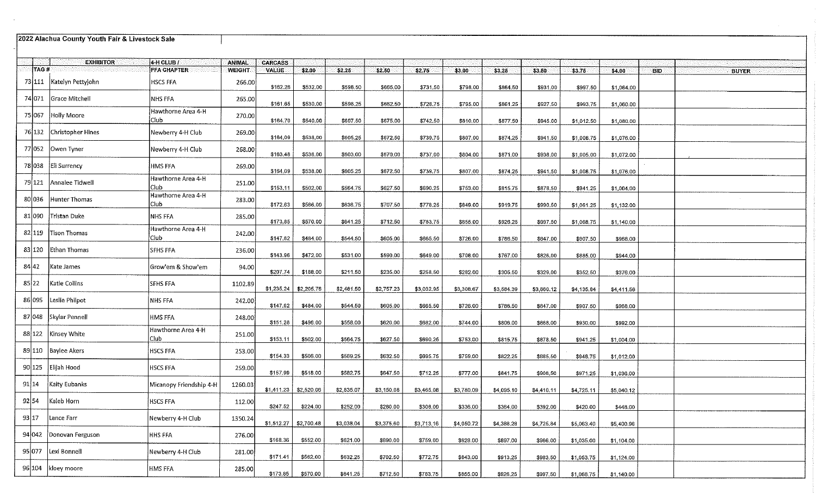|        |      | 2022 Alachua County Youth Fair & Livestock Sale |                                        |               |                        |                         |            |            |            |            |            |            |            |            |            |  |              |  |
|--------|------|-------------------------------------------------|----------------------------------------|---------------|------------------------|-------------------------|------------|------------|------------|------------|------------|------------|------------|------------|------------|--|--------------|--|
|        |      | <b>EXHIBITOR</b>                                | $4$ H CLUB $/$                         | <b>ANIMAL</b> | <b>CARCASS</b>         |                         |            |            |            |            |            |            |            |            |            |  |              |  |
|        | TAG# |                                                 | <b>FFA CHAPTER</b>                     | <b>WEIGHT</b> | VALUE                  | \$2.00                  | \$2.25     | \$2.50     | \$2.75     | \$3.00     | \$3.25     | \$3,50     | \$3.75     | \$4.00     | <b>BID</b> |  | <b>BUYER</b> |  |
|        |      | 73 111   Katelyn Pettyjohn                      | <b>HSCS FFA</b>                        | 266.00        | \$162.26               | \$532.00                | \$598.50   | \$665,00   | \$731.50   | \$798,00   | \$864.50   | \$931.00   | \$997.50   | \$1,064.00 |            |  |              |  |
| 74 071 |      | Grace Mitchell                                  | NHS FFA                                | 265.00        | \$161.65               | \$530.00                | \$596,25   | \$662.50   | \$728.75   | \$795.00   | \$861.25   | \$927.50   | \$993.75   | \$1,060.00 |            |  |              |  |
| 75 067 |      | Holly Moore                                     | Hawthorne Area 4-H<br>Club.            | 270.00        | \$164.70               | \$540.00                | \$607.50   | \$675,00   | \$742.50   | \$810.00   | \$877.50   | \$945.00   | \$1,012.50 | \$1,080.00 |            |  |              |  |
| 76 132 |      | Christopher Hines                               | Newberry 4-H Club                      | 269.00        | \$164.09               | \$538.00                | \$605.25   | \$672.50   | \$739.75   | \$807.00   | \$874.25   | \$941.50   | \$1,008.75 | \$1,076.00 |            |  |              |  |
| 77 052 |      | Owen Tyner                                      | Newberry 4-H Club                      | 268.00        | \$163,48               | \$536,00                | \$603,00   | \$670.00   | \$737.00   | \$804.00   | \$871.00   | \$938,00   | \$1,005.00 | \$1,072.00 |            |  |              |  |
|        |      | 78 038 Eli Surrency                             | <b>HMS FFA</b>                         | 269,00        | \$164.09               | \$538.00                | \$605.25   | \$672,50   | \$739.75   | \$807.00   | \$874.25   | \$941.50   | \$1,008.75 | \$1,076.00 |            |  |              |  |
| 79 121 |      | Annalee Tidwell                                 | Hawthorne Area 4-H<br>Club.            | 251.00        | \$153.11               | \$502.00                | \$564.75   | \$627.50   | \$690,25   | \$753.00   | \$815.75   | \$878.50   | \$941.25   | \$1,004.00 |            |  |              |  |
| 80 036 |      | Hunter Thomas                                   | Hawthorne Area 4-H<br>Club <sub></sub> | 283.00        | \$172.63               | \$566.00                | \$636,75   | \$707.50   | \$778.25   | \$849.00   | \$919.75   | \$990.50   | \$1,061.25 | \$1,132.00 |            |  |              |  |
| 81 090 |      | Tristan Duke                                    | NHS FFA                                | 285.00        | \$173.85               | \$570,00                | \$641.25   | \$712.50   | \$783.75   | \$855.00   | \$926.25   | \$997.50   | \$1,068.75 | \$1,140.00 |            |  |              |  |
| 82 119 |      | Tison Thomas                                    | Hawthorne Area 4-H<br>Club             | 242.00        | \$147.62               | \$484.00                | \$544.50   | \$605.00   | \$665,50   | \$726.00   | \$786.50   | \$847.00   | \$907.50   | \$968.00   |            |  |              |  |
| 83 120 |      | Ethan Thomas                                    | SFHS FFA                               | 236.00        | \$143.96               | \$472.00                | \$531.00   | \$590.00   | \$649.00   | \$708.00   | \$767.00   | \$826,00   | \$885.00   | \$944.00   |            |  |              |  |
| 84 42  |      | Kate James                                      | Grow'em & Show'em                      | 94.00         | \$207.74               | \$188.00                | \$211.50   | \$235,00   | \$258.50   | \$282.00   | \$305.50   | \$329.00   | \$352.50   | \$376.00   |            |  |              |  |
| 85 22  |      | Katie Collins                                   | SFHS FFA                               | 1102.89       | \$1,235.24             | \$2,205.78              | \$2,481.50 | \$2,757.23 | \$3,032.95 | \$3,308.67 | \$3,584.39 | \$3,860.12 | \$4,135.84 | \$4,411.56 |            |  |              |  |
| 86 095 |      | Leslie Philpot                                  | NHS FFA                                | 242.00        | \$147.62               | \$484.00                | \$544.50   | \$605.00   | \$665.50   | \$726,00   | \$786.50   | \$847.00   | \$907.50   | \$968,00   |            |  |              |  |
|        |      | 87 048 Skylar Pennell                           | HMS FFA                                | 248.00        | \$151.28               | \$496.00                | \$558.00   | \$620.00   | \$682.00   | \$744.00   | \$806.00   | \$868,00   | \$930,00   | \$992.00   |            |  |              |  |
|        |      | 88 122   Kinsey White                           | Hawthorne Area 4-H<br>Club.            | 251.00        | \$153.11               | \$502.00                | \$564.75   | \$627.50   | \$690.25   | \$753.00   | \$815.75   | \$878.50   | \$941.25   | \$1,004.00 |            |  |              |  |
|        |      | 89 110 Baylee Akers                             | <b>HSCS FFA</b>                        | 253.00        | \$154.33               | \$506.00                | \$569.25   | \$632.50   | \$695.75   | \$759.00   | \$822.25   | \$885.50   | \$948.75   | \$1,012.00 |            |  |              |  |
|        |      | 90 125 Elijah Hood                              | HSCS FFA                               | 259.00        | \$157.99               | \$518.00                | \$582.75   | \$647.50   | \$712.25   | \$777.00   | \$841.75   | \$906,50   | \$971.25   | \$1,036.00 |            |  |              |  |
| 91 14  |      | Kaity Eubanks                                   | Micanopy Friendship 4-H                | 1260.03       |                        | $$1,411.23$ $$2,520.06$ | \$2,835.07 | \$3,150.08 | \$3,465.08 | \$3,780.09 | \$4,095.10 | \$4,410.11 | \$4,725.11 | \$5,040.12 |            |  |              |  |
| 92 54  |      | Kaleb Horn                                      | HSCS FFA                               | 112.00        | \$247.52               | \$224.00                | \$252.00   | \$280.00   | \$308,00   | \$336.00   | \$364.00   | \$392.00   | \$420.00   | \$448.00   |            |  |              |  |
| 93 17  |      | Lance Farr                                      | Newberry 4-H Club                      | 1350.24       | $$1,512.27$ \$2,700.48 |                         | \$3,038.04 | \$3,375.60 | \$3,713.16 | \$4,050.72 | \$4,388.28 | \$4,725.84 | \$5,063.40 | \$5,400.96 |            |  |              |  |
|        |      | 94 042 Donovan Ferguson                         | HHS FFA                                | 276.00        | \$168.36               | \$552.00                | \$621.00   | \$690.00   | \$759.00   | \$828.00   | \$897,00   | \$966,00   | \$1,035.00 | \$1,104.00 |            |  |              |  |
|        |      | 95 077   Lexi Bonnell                           | Newberry 4-H Club                      | 281.00        | \$171.41               | \$562.00                | \$632.25   | \$702.50   | \$772,75   | \$843.00   | \$913.25   | \$983.50   | \$1,053.75 | \$1,124.00 |            |  |              |  |
|        |      | 96 104 kloey moore                              | HMS FFA                                | 285.00        | \$173.85               | \$570.00                | \$641.25   | \$712.50   | \$783.75   | \$855.00   | \$926.25   | \$997.50   | \$1,068.75 | \$1,140.00 |            |  |              |  |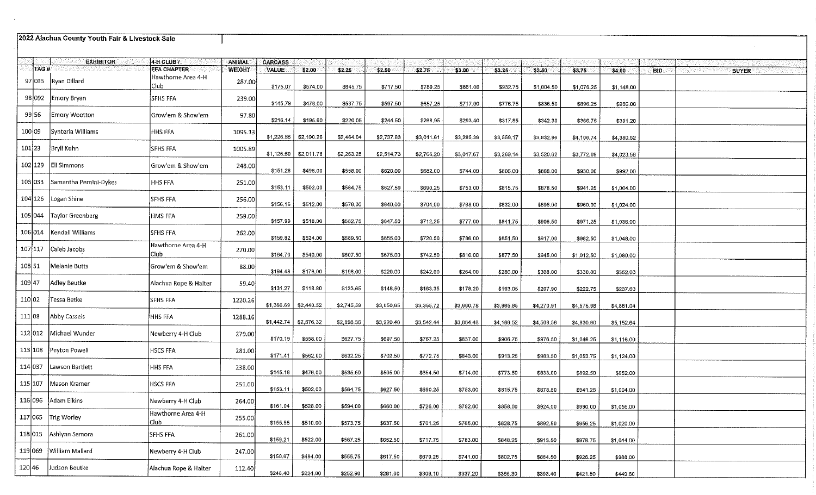|         | 2022 Alachua County Youth Fair & Livestock Sale |                             |               |                |                         |            |            |            |            |            |            |            |            |                            |
|---------|-------------------------------------------------|-----------------------------|---------------|----------------|-------------------------|------------|------------|------------|------------|------------|------------|------------|------------|----------------------------|
|         | <b>EXHIBITOR</b>                                | $A$ -H CLUB $I$             | <b>ANIMAL</b> | <b>CARCASS</b> |                         |            |            |            |            |            |            |            |            |                            |
| TAG#    |                                                 | <b>FFA CHAPTER</b>          | <b>WEIGHT</b> | <b>VALUE</b>   | \$200                   | \$2.25     | \$2.50     | \$2.75     | 33.00      | \$3.25     | \$3.50     | \$3.75     | \$4.00     | <b>BID</b><br><b>BUYER</b> |
| 97 035  | Ryan Dillard                                    | Hawthorne Area 4-H<br>Club  | 287.00        | \$175.07       | \$574.00                | \$645.75   | \$717.50   | \$789.25   | \$861.00   | \$932,75   | \$1,004.50 | \$1,076.25 | \$1,148,00 |                            |
|         | 98 092 Emory Bryan                              | <b>SFHS FFA</b>             | 239.00        | \$145.79       | \$478.00                | \$537.75   | \$597.50   | \$657.25   | \$717.00   | \$776.75   | \$836,50   | \$896.25   | \$956.00   |                            |
| 99 56   | Emory Wootton                                   | Grow'em & Show'em           | 97.80         | \$216.14       | \$195.60                | \$220.05   | \$244.50   | \$268.95   | \$293.40   | \$317.85   | \$342.30   | \$366,75   | \$391.20   |                            |
| 100 09  | Synteria Williams                               | HHS FFA                     | 1095.13       | \$1,226.55     | \$2,190.26              | \$2,464.04 | \$2,737.83 | \$3,011.61 | \$3,285.39 | \$3,559.17 | \$3,832.96 | \$4,106.74 | \$4,380.52 |                            |
| 101 23  | Bryli Kuhn                                      | <b>SFHS FFA</b>             | 1005.89       | \$1,126.60     | \$2,011.78              | \$2,263.25 | \$2,514.73 | \$2,766.20 | \$3,017.67 | \$3,269.14 | \$3,520.62 | \$3,772.09 | \$4,023.56 |                            |
|         | 102 129 Eli Simmons                             | Grow'em & Show'em           | 248.00        | \$151.28       | \$496.00                | \$558.00   | \$620.00   | \$682.00   | \$744.00   | \$806.00   | \$868.00   | \$930.00   | \$992.00   |                            |
|         | 103 033 Samantha Pernini-Dykes                  | <b>HHS FFA</b>              | 251.00        | \$153.11       | \$502.00                | \$564.75   | \$627.50   | \$690.25   | \$753.00   | \$815.75   | \$878.50   | \$941.25   | \$1,004.00 |                            |
|         | $104$ 126 Logan Shine                           | SFHS FFA                    | 256.00        | \$156.16       | \$512.00                | \$576.00   | \$640.00   | \$704.00   | \$768.00   | \$832.00   | \$896,00   | \$960.00   | \$1,024.00 |                            |
|         | 105 044   Taylor Greenberg                      | HMS FFA                     | 259.00        | \$157.99       | \$518.00                | \$582.75   | \$647.50   | \$712.25   | \$777.00   | \$841.75   | \$906.50   | \$971.25   | \$1,036.00 |                            |
|         | 106 014   Kendall Williams                      | <b>SFHS FFA</b>             | 262.00        | \$159.82       | \$524.00                | \$589.50   | \$655.00   | \$720.50   | \$786,00   | \$851.50   | \$917.00   | \$982.50   | \$1,048.00 |                            |
| 107 117 | Caleb Jacobs                                    | Hawthorne Area 4-H<br>Club  | 270.00        | \$164.70       | \$540.00                | \$607,50   | \$675.00   | \$742.50   | \$810.00   | \$877.50   | \$945.00   | \$1,012.50 | \$1,080.00 |                            |
| 108 51  | Melanie Butts                                   | Grow'em & Show'em           | 88.00         | \$194.48       | \$176.00                | \$198.00   | \$220.00   | \$242.00   | \$264.00   | \$286.00   | \$308.00   | \$330.00   | \$352.00   |                            |
| 109 47  | Adley Beutke                                    | Alachua Rope & Halter       | 59.40         | \$131.27       | \$118.80                | \$133.65   | \$148.50   | \$163.35   | \$178.20   | \$193.05   | \$207.90   | \$222.75   | \$237.60   |                            |
| 110 02  | Tessa Betke                                     | <b>SFHS FFA</b>             | 1220.26       | \$1,366.69     | \$2,440.52              | \$2,745.59 | \$3,050.65 | \$3,355.72 | \$3,660.78 | \$3,965.85 | \$4,270.91 | \$4,575.98 | \$4,881.04 |                            |
| 111 08  | Abby Cassels                                    | <b>HHS FFA</b>              | 1288.16       |                | $$1,442.74$ $$2,576.32$ | \$2,898.36 | \$3,220.40 | \$3,542.44 | \$3,864.48 | \$4,186.52 | \$4,508.56 | \$4,830.60 | \$5,152.64 |                            |
| 112 012 | Michael Wunder                                  | Newberry 4-H Club           | 279.00        | \$170.19       | \$558,00                | \$627.75   | \$697.50   | \$767.25   | \$837.00   | \$906.75   | \$976.50   | \$1,046.25 | \$1,116.00 |                            |
|         | 113 108 Peyton Powell                           | <b>HSCS FFA</b>             | 281.00        | \$171.41       | \$562.00                | \$632.25   | \$702.50   | \$772.75   | \$843.00   | \$913,25   | \$983.50   | \$1,053.75 | \$1,124.00 |                            |
|         | 114 037 Lawson Bartlett                         | <b>HHS FFA</b>              | 238.00        | \$145.18       | \$476.00                | \$535.50   | \$595,00   | \$654.50   | \$714.00   | \$773.50   | \$833,00   | \$892.50   | \$952.00   |                            |
| 115 107 | Mason Kramer                                    | <b>HSCS FFA</b>             | 251.00        | \$153.11       | \$502,00                | \$564.75   | \$627.50   | \$690,25   | \$753.00   | \$815.75   | \$878.50   | \$941.25   | \$1,004.00 |                            |
|         | 116096 Adam Elkins                              | Newberry 4-H Club           | 264.00        | \$161.04       | \$528.00                | \$594.00   | \$660.00   | \$726.00   | \$792.00   | \$858,00   | \$924.00   | \$990.00   | \$1,056.00 |                            |
|         | 117 065 $Trig$ Worley                           | Hawthorne Area 4-H<br>club! | 255.00        | \$155,55       | \$510,00                | \$573.75   | \$637.50   | \$701.25   | \$765.00   | \$828.75   | \$892.50   | \$956.25   | \$1,020.00 |                            |
|         | 118 015 Ashiynn Samora                          | <b>SFHS FFA</b>             | 261.00        | \$159.21       | \$522.00                | \$587.25   | \$652.50   | \$717.75   | \$783.00   | \$848.25   | \$913.50   | \$978.75   | \$1,044.00 |                            |
|         | 119 069   William Mallard                       | Newberry 4-H Club           | 247.00        | \$150.67       | \$494.00                | \$555.75   | \$617.50   | \$679.25   | \$741.00   | \$802.75   | \$864.50   | \$926.25   | \$988,00   |                            |
| 120 46  | Judson Beutke                                   | Alachua Rope & Halter       | 112.40        |                |                         |            |            |            |            |            |            |            |            |                            |

 $$248.40$   $$224.80$ 

 $$252.90$ 

 $$281.00$ 

 $$309.10$ 

 $$337.20$   $$365.30$   $$393.40$ 

 $$421.50$ 

 $$449.60$ 

 $\sim 10^{-1}$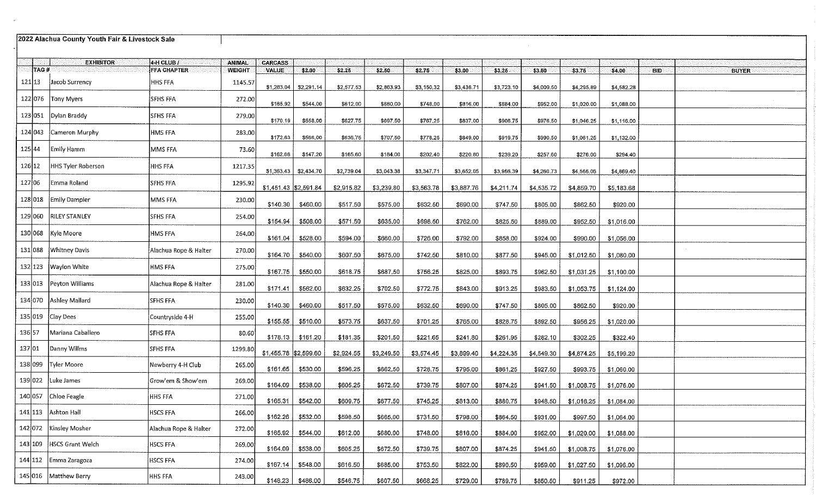|         | 2022 Alachua County Youth Fair & Livestock Sale |                       |               |                       |                        |            |            |            |            |            |            |            |            |            |              |
|---------|-------------------------------------------------|-----------------------|---------------|-----------------------|------------------------|------------|------------|------------|------------|------------|------------|------------|------------|------------|--------------|
|         | <b>EXHIBITOR</b>                                | $4-H CLUBI$           | <b>ANIMAL</b> | <b>CARCASS</b>        |                        |            |            |            |            |            |            |            |            |            |              |
| TAG#    |                                                 | <b>FFA CHAPTER</b>    | <b>WEIGHT</b> | <b>VALUE</b>          | \$2.00                 | \$2,25     | \$2.50     | \$2.75     | \$3.00     | \$3.25     | \$3.50     | \$3.75     | \$4.00     | <b>BID</b> | <b>BUYER</b> |
| 121 13  | Jacob Surrency                                  | HHS FFA               | 1145,57       | \$1,283.04            | \$2,291.14             | \$2,577.53 | \$2,863.93 | \$3,150.32 | \$3,436.71 | \$3,723.10 | \$4,009.50 | \$4,295,89 | \$4,582.28 |            |              |
| 122 076 | Tony Myers                                      | <b>SFHS FFA</b>       | 272.00        | \$165,92              | \$544.00               | \$612,00   | \$680,00   | \$748.00   | \$816.00   | \$884.00   | \$952.00   | \$1,020.00 | \$1,088.00 |            |              |
| 123 051 | Dylan Braddy                                    | SFHS FFA              | 279.00        | \$170.19              | \$558.00               | \$627.75   | \$697,50   | \$767.25   | \$837.00   | \$906,75   | \$976.50   | \$1,046.25 | \$1,116.00 |            |              |
| 124 043 | Cameron Murphy                                  | HMS FFA               | 283.00        | \$172.63              | \$566.00               | \$636.75   | \$707.50   | \$778.25   | \$849.00   | \$919,75   | \$990,50   | \$1,061.25 | \$1,132.00 |            |              |
| 125 44  | Emily Hamm                                      | MMS FFA               | 73.60         | \$162.66              | \$147.20               | \$165,60   | \$184.00   | \$202.40   | \$220.80   | \$239.20   | \$257.60   | \$276.00   | \$294.40   |            |              |
| 126 12  | <b>HHS Tyler Roberson</b>                       | <b>HHS FFA</b>        | 1217.35       |                       | $$1,363.43$ \$2,434.70 | \$2,739.04 | \$3,043.38 | \$3,347.71 | \$3,652.05 | \$3,956.39 | \$4,260.73 | \$4,565.06 | \$4 869.40 |            |              |
| 127 06  | Emma Roland                                     | SFHS FFA              | 1295,92       | \$1,451.43 \$2,591.84 |                        | \$2,915.82 | \$3,239.80 | \$3,563.78 | \$3,887.76 | \$4,211.74 | \$4,535.72 | \$4,859.70 | \$5,183.68 |            |              |
| 128 018 | Emily Dampier                                   | MMS FFA               | 230.00        | \$140.30              | \$460.00               | \$517.50   | \$575.00   | \$632.50   | \$690.00   | \$747.50   | \$805.00   | \$862.50   | \$920.00   |            |              |
| 129 060 | <b>RILEY STANLEY</b>                            | <b>SFHS FFA</b>       | 254.00        | \$154.94              | \$508.00               | \$571.50   | \$635.00   | \$698.50   | \$762.00   | \$825.50   | \$889.00   | \$952.50   | \$1,016.00 |            |              |
|         | 130 068 Kyle Moore                              | <b>HMS FFA</b>        | 264.00        | \$161.04              | \$528.00               | \$594.00   | \$660.00   | \$726.00   | \$792.00   | \$858.00   | \$924.00   | \$990.00   | \$1,056.00 |            |              |
| 131 088 | Whitney Davis                                   | Alachua Rope & Halter | 270.00        | \$164.70              | \$540.00               | \$607.50   | \$675.00   | \$742.50   | \$810.00   | \$877.50   | \$945.00   | \$1,012.50 | \$1,080.00 |            |              |
| 132 123 | Waylon White                                    | HMS FFA               | 275.00        | \$167.75              | \$550.00               | \$618.75   | \$687.50   | \$756.25   | \$825.00   | \$893.75   | \$962.50   | \$1,031.25 | \$1,100.00 |            |              |
| 133 013 | Peyton Williams                                 | Alachua Rope & Halter | 281.00        | \$171.41              | \$562.00               | \$632.25   | \$702.50   | \$772.75   | \$843.00   | \$913.25   | \$983.50   | \$1,053.75 | \$1,124.00 |            |              |
|         | 134 070 Ashley Mallard                          | <b>SFHS FFA</b>       | 230.00        | \$140.30              | \$460.00               | \$517.50   | \$575.00   | \$632.50   | \$690.00   | \$747.50   | \$805.00   | \$862.50   | \$920.00   |            |              |
|         | $135 019$ Clay Dees                             | Countryside 4-H       | 255.00        | \$155.55              | \$510.00               | \$573.75   | \$637.50   | \$701.25   | \$765.00   | \$828.75   | \$892.50   | \$956.25   | \$1,020.00 |            |              |
| 136 57  | Mariana Caballero                               | SFHS FFA              | 80.60         |                       | $$178.13$ $$161.20$    | \$181.35   | \$201.50   | \$221.65   | \$241.80   | \$261.95   | \$282.10   | \$302.25   | \$322.40   |            |              |
| 137 01  | Danny Willms                                    | <b>SFHS FFA</b>       | 1299.80       | \$1,455.78 \$2,599.60 |                        | \$2,924.55 | \$3,249.50 | \$3,574.45 | \$3,899.40 | \$4,224.35 | \$4,549.30 | \$4,874.25 | \$5,199.20 |            |              |
| 138 099 | Tyler Moore                                     | Newberry 4-H Club     | 265.00        | \$161.65              | \$530.00               | \$596.25   | \$662.50   | \$728.75   | \$795.00   | \$861.25   | \$927.50   | \$993.75   | \$1,060.00 |            |              |
|         | 139 022 Luke James                              | Grow'em & Show'em     | 269.00        | \$164.09              | \$538.00               | \$605.25   | \$672.50   | \$739.75   | \$807.00   | \$874.25   | \$941.50   | \$1,008.75 | \$1,076.00 |            |              |
|         | 140 057 Chloe Feagle                            | HHS FFA               | 271.00        |                       | $$165.31$ $$542.00$    | \$609.75   | \$677.50   | \$745.25   | \$813.00   | \$880.75   | \$948.50   | \$1,016.25 | \$1,084.00 |            |              |
|         | 141 113 Ashton Hall                             | <b>HSCS FFA</b>       | 266.00        | \$162.26              | \$532.00               | \$598.50   | \$665.00   | \$731.50   | \$798.00   | \$864.50   | \$931.00   | \$997.50   | \$1,064.00 |            |              |
|         | 142 072 Kinsley Mosher                          | Alachua Rope & Halter | 272.00        | \$165.92              | \$544.00               | \$612.00   | \$680.00   | \$748.00   | \$816.00   | \$884.00   | \$952.00   | \$1,020.00 | \$1,088.00 |            |              |
|         | 143 109 HSCS Grant Welch                        | <b>HSCS FFA</b>       | 269.00        | \$164.09              | \$538.00               | \$605.25   | \$672.50   | \$739.75   | \$807.00   | \$874.25   | \$941.50   | \$1,008.75 | \$1,076.00 |            |              |
|         | 144 112 Emma Zaragoza                           | <b>HSCS FFA</b>       | 274.00        |                       | $$167.14$ $$548.00$    | \$616.50   | \$685.00   | \$753.50   | \$822.00   | \$890.50   | \$959.00   | \$1,027.50 | \$1,096.00 |            |              |
|         | 145 016 Matthew Berry                           | <b>HHS FFA</b>        | 243.00        |                       | $$148.23$ $$486.00$    | \$546.75   | \$607.50 l | \$668.25   | \$729.00   | \$789.75   | \$850.50   | S911.25 L  | \$972.00   |            |              |